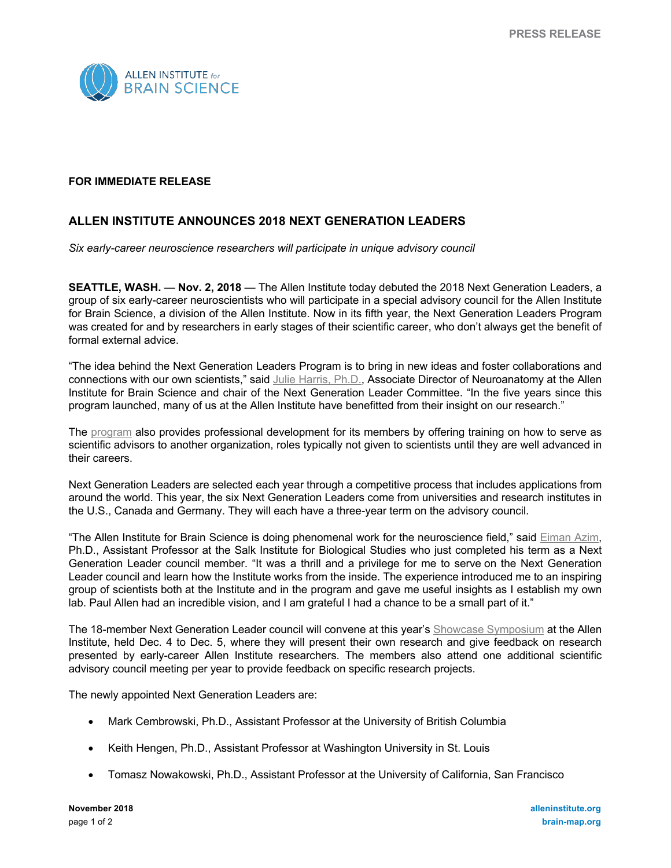

## **FOR IMMEDIATE RELEASE**

## **ALLEN INSTITUTE ANNOUNCES 2018 NEXT GENERATION LEADERS**

*Six early-career neuroscience researchers will participate in unique advisory council*

**SEATTLE, WASH.** — **Nov. 2, 2018** — The Allen Institute today debuted the 2018 Next Generation Leaders, a group of six early-career neuroscientists who will participate in a special advisory council for the Allen Institute for Brain Science, a division of the Allen Institute. Now in its fifth year, the Next Generation Leaders Program was created for and by researchers in early stages of their scientific career, who don't always get the benefit of formal external advice.

"The idea behind the Next Generation Leaders Program is to bring in new ideas and foster collaborations and connections with our own scientists," said Julie Harris, Ph.D., Associate Director of Neuroanatomy at the Allen Institute for Brain Science and chair of the Next Generation Leader Committee. "In the five years since this program launched, many of us at the Allen Institute have benefitted from their insight on our research."

The program also provides professional development for its members by offering training on how to serve as scientific advisors to another organization, roles typically not given to scientists until they are well advanced in their careers.

Next Generation Leaders are selected each year through a competitive process that includes applications from around the world. This year, the six Next Generation Leaders come from universities and research institutes in the U.S., Canada and Germany. They will each have a three-year term on the advisory council.

"The Allen Institute for Brain Science is doing phenomenal work for the neuroscience field," said Eiman Azim, Ph.D., Assistant Professor at the Salk Institute for Biological Studies who just completed his term as a Next Generation Leader council member. "It was a thrill and a privilege for me to serve on the Next Generation Leader council and learn how the Institute works from the inside. The experience introduced me to an inspiring group of scientists both at the Institute and in the program and gave me useful insights as I establish my own lab. Paul Allen had an incredible vision, and I am grateful I had a chance to be a small part of it."

The 18-member Next Generation Leader council will convene at this year's Showcase Symposium at the Allen Institute, held Dec. 4 to Dec. 5, where they will present their own research and give feedback on research presented by early-career Allen Institute researchers. The members also attend one additional scientific advisory council meeting per year to provide feedback on specific research projects.

The newly appointed Next Generation Leaders are:

- Mark Cembrowski, Ph.D., Assistant Professor at the University of British Columbia
- Keith Hengen, Ph.D., Assistant Professor at Washington University in St. Louis
- Tomasz Nowakowski, Ph.D., Assistant Professor at the University of California, San Francisco